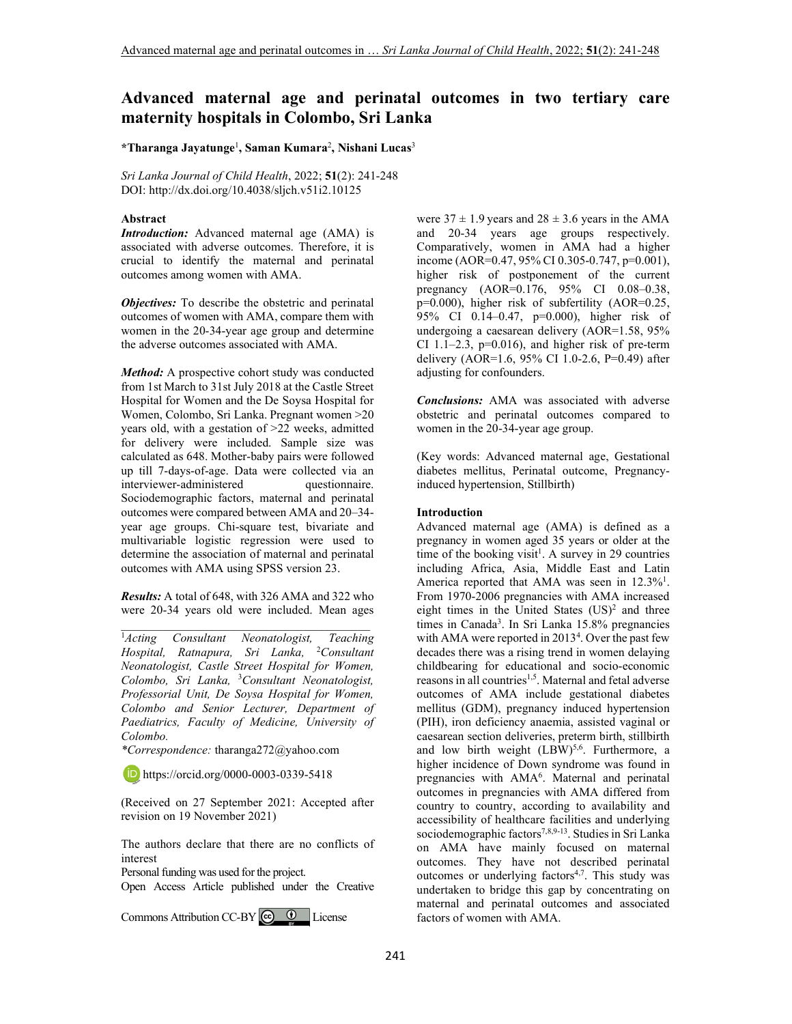# **Advanced maternal age and perinatal outcomes in two tertiary care maternity hospitals in Colombo, Sri Lanka**

#### **\*Tharanga Jayatunge**<sup>1</sup> **, Saman Kumara**<sup>2</sup> **, Nishani Lucas**<sup>3</sup>

*Sri Lanka Journal of Child Health*, 2022; **51**(2): 241-248 DOI: http://dx.doi.org/10.4038/sljch.v51i2.10125

#### **Abstract**

*Introduction:* Advanced maternal age (AMA) is associated with adverse outcomes. Therefore, it is crucial to identify the maternal and perinatal outcomes among women with AMA.

*Objectives:* To describe the obstetric and perinatal outcomes of women with AMA, compare them with women in the 20-34-year age group and determine the adverse outcomes associated with AMA.

*Method:* A prospective cohort study was conducted from 1st March to 31st July 2018 at the Castle Street Hospital for Women and the De Soysa Hospital for Women, Colombo, Sri Lanka. Pregnant women >20 years old, with a gestation of >22 weeks, admitted for delivery were included. Sample size was calculated as 648. Mother-baby pairs were followed up till 7-days-of-age. Data were collected via an interviewer-administered questionnaire. Sociodemographic factors, maternal and perinatal outcomes were compared between AMA and 20–34 year age groups. Chi-square test, bivariate and multivariable logistic regression were used to determine the association of maternal and perinatal outcomes with AMA using SPSS version 23.

*Results:* A total of 648, with 326 AMA and 322 who were 20-34 years old were included. Mean ages \_\_\_\_\_\_\_\_\_\_\_\_\_\_\_\_\_\_\_\_\_\_\_\_\_\_\_\_\_\_\_\_\_\_\_\_\_\_\_\_\_

<sup>1</sup>*Acting Consultant Neonatologist, Teaching Hospital, Ratnapura, Sri Lanka,* <sup>2</sup>*Consultant Neonatologist, Castle Street Hospital for Women, Colombo, Sri Lanka,* <sup>3</sup>*Consultant Neonatologist, Professorial Unit, De Soysa Hospital for Women, Colombo and Senior Lecturer, Department of Paediatrics, Faculty of Medicine, University of Colombo.* 

*\*Correspondence:* tharanga272@yahoo.com

**iD** https://orcid.org/0000-0003-0339-5418

(Received on 27 September 2021: Accepted after revision on 19 November 2021)

The authors declare that there are no conflicts of interest

Personal funding was used for the project.

Open Access Article published under the Creative

CommonsAttribution CC-BY  $\bigcirc$   $\bigcirc$  License

were  $37 \pm 1.9$  years and  $28 \pm 3.6$  years in the AMA and 20-34 years age groups respectively. Comparatively, women in AMA had a higher income (AOR=0.47, 95% CI 0.305-0.747, p=0.001), higher risk of postponement of the current pregnancy (AOR=0.176, 95% CI 0.08–0.38, p=0.000), higher risk of subfertility (AOR=0.25, 95% CI 0.14–0.47, p=0.000), higher risk of undergoing a caesarean delivery (AOR=1.58, 95% CI 1.1–2.3,  $p=0.016$ ), and higher risk of pre-term delivery (AOR=1.6, 95% CI 1.0-2.6, P=0.49) after adjusting for confounders.

*Conclusions:* AMA was associated with adverse obstetric and perinatal outcomes compared to women in the 20-34-year age group.

(Key words: Advanced maternal age, Gestational diabetes mellitus, Perinatal outcome, Pregnancyinduced hypertension, Stillbirth)

#### **Introduction**

Advanced maternal age (AMA) is defined as a pregnancy in women aged 35 years or older at the time of the booking visit<sup>1</sup>. A survey in 29 countries including Africa, Asia, Middle East and Latin America reported that AMA was seen in 12.3%<sup>1</sup>. From 1970-2006 pregnancies with AMA increased eight times in the United States  $(US)^2$  and three times in Canada<sup>3</sup>. In Sri Lanka 15.8% pregnancies with AMA were reported in 2013<sup>4</sup>. Over the past few decades there was a rising trend in women delaying childbearing for educational and socio-economic reasons in all countries<sup>1,5</sup>. Maternal and fetal adverse outcomes of AMA include gestational diabetes mellitus (GDM), pregnancy induced hypertension (PIH), iron deficiency anaemia, assisted vaginal or caesarean section deliveries, preterm birth, stillbirth and low birth weight  $(LBW)^{5,6}$ . Furthermore, a higher incidence of Down syndrome was found in pregnancies with AMA<sup>6</sup>. Maternal and perinatal outcomes in pregnancies with AMA differed from country to country, according to availability and accessibility of healthcare facilities and underlying sociodemographic factors<sup>7,8,9-13</sup>. Studies in Sri Lanka on AMA have mainly focused on maternal outcomes. They have not described perinatal outcomes or underlying factors<sup>4,7</sup>. This study was undertaken to bridge this gap by concentrating on maternal and perinatal outcomes and associated factors of women with AMA.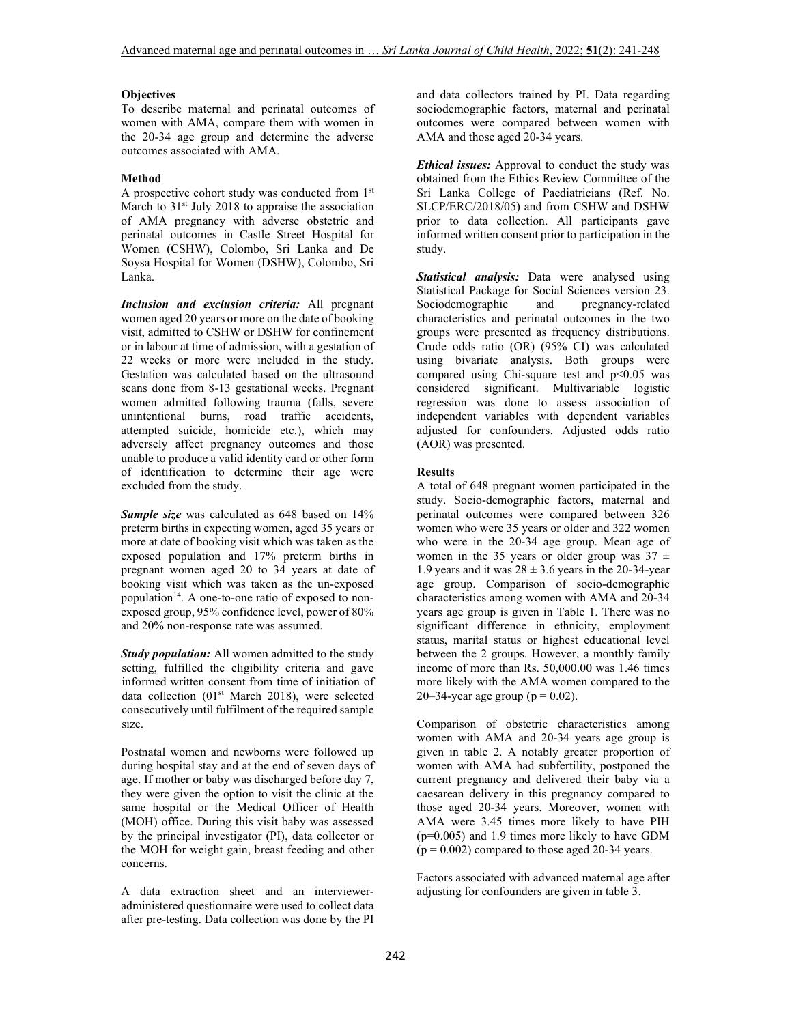## **Objectives**

To describe maternal and perinatal outcomes of women with AMA, compare them with women in the 20-34 age group and determine the adverse outcomes associated with AMA.

# **Method**

A prospective cohort study was conducted from 1<sup>st</sup> March to 31<sup>st</sup> July 2018 to appraise the association of AMA pregnancy with adverse obstetric and perinatal outcomes in Castle Street Hospital for Women (CSHW), Colombo, Sri Lanka and De Soysa Hospital for Women (DSHW), Colombo, Sri Lanka.

*Inclusion and exclusion criteria:* All pregnant women aged 20 years or more on the date of booking visit, admitted to CSHW or DSHW for confinement or in labour at time of admission, with a gestation of 22 weeks or more were included in the study. Gestation was calculated based on the ultrasound scans done from 8-13 gestational weeks. Pregnant women admitted following trauma (falls, severe unintentional burns, road traffic accidents, attempted suicide, homicide etc.), which may adversely affect pregnancy outcomes and those unable to produce a valid identity card or other form of identification to determine their age were excluded from the study.

*Sample size* was calculated as 648 based on 14% preterm births in expecting women, aged 35 years or more at date of booking visit which was taken as the exposed population and 17% preterm births in pregnant women aged 20 to 34 years at date of booking visit which was taken as the un-exposed population<sup>14</sup>. A one-to-one ratio of exposed to nonexposed group, 95% confidence level, power of 80% and 20% non-response rate was assumed.

*Study population:* All women admitted to the study setting, fulfilled the eligibility criteria and gave informed written consent from time of initiation of data collection (01<sup>st</sup> March 2018), were selected consecutively until fulfilment of the required sample size.

Postnatal women and newborns were followed up during hospital stay and at the end of seven days of age. If mother or baby was discharged before day 7, they were given the option to visit the clinic at the same hospital or the Medical Officer of Health (MOH) office. During this visit baby was assessed by the principal investigator (PI), data collector or the MOH for weight gain, breast feeding and other concerns.

A data extraction sheet and an intervieweradministered questionnaire were used to collect data after pre-testing. Data collection was done by the PI and data collectors trained by PI. Data regarding sociodemographic factors, maternal and perinatal outcomes were compared between women with AMA and those aged 20-34 years.

*Ethical issues:* Approval to conduct the study was obtained from the Ethics Review Committee of the Sri Lanka College of Paediatricians (Ref. No. SLCP/ERC/2018/05) and from CSHW and DSHW prior to data collection. All participants gave informed written consent prior to participation in the study.

*Statistical analysis:* Data were analysed using Statistical Package for Social Sciences version 23. Sociodemographic and pregnancy-related characteristics and perinatal outcomes in the two groups were presented as frequency distributions. Crude odds ratio (OR) (95% CI) was calculated using bivariate analysis. Both groups were compared using Chi-square test and  $p<0.05$  was considered significant. Multivariable logistic regression was done to assess association of independent variables with dependent variables adjusted for confounders. Adjusted odds ratio (AOR) was presented.

# **Results**

A total of 648 pregnant women participated in the study. Socio-demographic factors, maternal and perinatal outcomes were compared between 326 women who were 35 years or older and 322 women who were in the 20-34 age group. Mean age of women in the 35 years or older group was  $37 \pm$ 1.9 years and it was  $28 \pm 3.6$  years in the 20-34-year age group. Comparison of socio-demographic characteristics among women with AMA and 20-34 years age group is given in Table 1. There was no significant difference in ethnicity, employment status, marital status or highest educational level between the 2 groups. However, a monthly family income of more than Rs. 50,000.00 was 1.46 times more likely with the AMA women compared to the 20–34-year age group ( $p = 0.02$ ).

Comparison of obstetric characteristics among women with AMA and 20-34 years age group is given in table 2. A notably greater proportion of women with AMA had subfertility, postponed the current pregnancy and delivered their baby via a caesarean delivery in this pregnancy compared to those aged 20-34 years. Moreover, women with AMA were 3.45 times more likely to have PIH (p=0.005) and 1.9 times more likely to have GDM  $(p = 0.002)$  compared to those aged 20-34 years.

Factors associated with advanced maternal age after adjusting for confounders are given in table 3.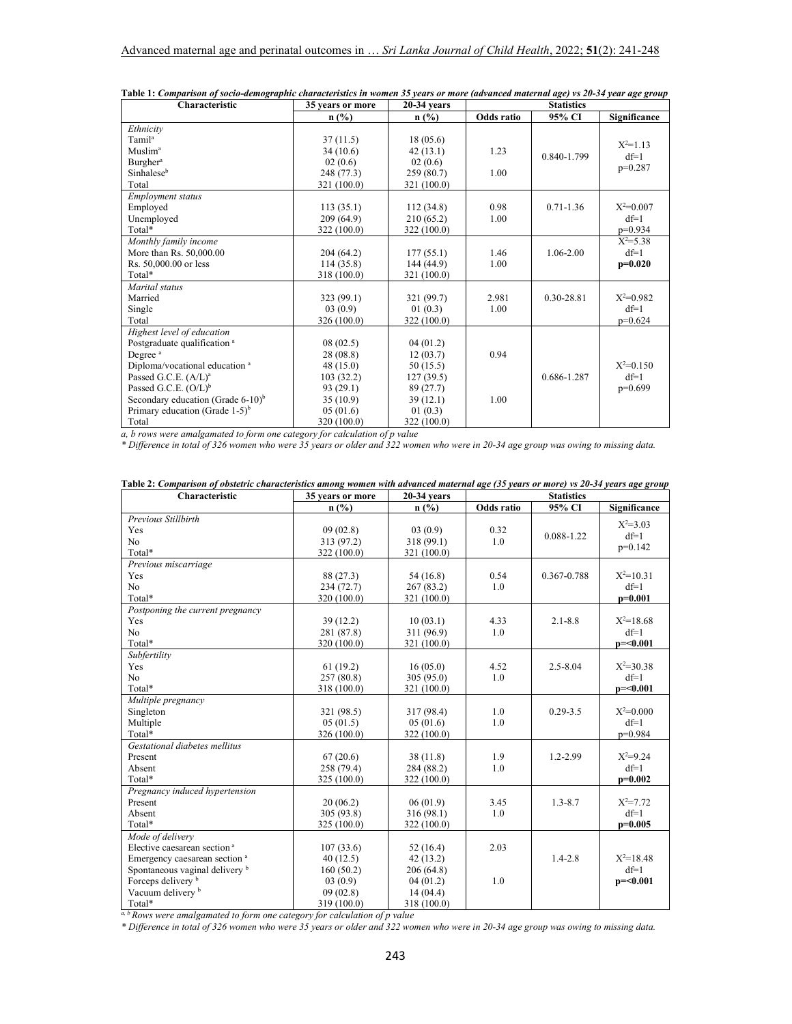| Characteristic                                   | 35 years or more | 20-34 vears | <b>Statistics</b> |               |              |
|--------------------------------------------------|------------------|-------------|-------------------|---------------|--------------|
|                                                  | $n$ (%)          | $n$ (%)     | Odds ratio        | 95% CI        | Significance |
| Ethnicity                                        |                  |             |                   |               |              |
| Tamil <sup>a</sup>                               | 37(11.5)         | 18(05.6)    |                   |               | $X^2=1.13$   |
| Muslim <sup>a</sup>                              | 34(10.6)         | 42(13.1)    | 1.23              | 0.840-1.799   | $df=1$       |
| Burgher <sup>a</sup>                             | 02(0.6)          | 02(0.6)     |                   |               | $p=0.287$    |
| Sinhalese <sup>b</sup>                           | 248 (77.3)       | 259(80.7)   | 1.00              |               |              |
| Total                                            | 321 (100.0)      | 321 (100.0) |                   |               |              |
| <b>Employment status</b>                         |                  |             |                   |               |              |
| Employed                                         | 113(35.1)        | 112(34.8)   | 0.98              | $0.71 - 1.36$ | $X^2=0.007$  |
| Unemployed                                       | 209 (64.9)       | 210 (65.2)  | 1.00              |               | $df=1$       |
| Total*                                           | 322 (100.0)      | 322 (100.0) |                   |               | $p=0.934$    |
| Monthly family income                            |                  |             |                   |               | $X^2 = 5.38$ |
| More than Rs. 50,000.00                          | 204 (64.2)       | 177(55.1)   | 1.46              | $1.06 - 2.00$ | $df=1$       |
| Rs. 50,000.00 or less                            | 114(35.8)        | 144 (44.9)  | 1.00              |               | $p=0.020$    |
| Total*                                           | 318 (100.0)      | 321 (100.0) |                   |               |              |
| Marital status                                   |                  |             |                   |               |              |
| Married                                          | 323 (99.1)       | 321 (99.7)  | 2.981             | 0.30-28.81    | $X^2=0.982$  |
| Single                                           | 03(0.9)          | 01(0.3)     | 1.00              |               | $df=1$       |
| Total                                            | 326 (100.0)      | 322 (100.0) |                   |               | $p=0.624$    |
| Highest level of education                       |                  |             |                   |               |              |
| Postgraduate qualification <sup>a</sup>          | 08(02.5)         | 04(01.2)    |                   |               |              |
| Degree <sup>a</sup>                              | 28 (08.8)        | 12(03.7)    | 0.94              |               |              |
| Diploma/vocational education <sup>a</sup>        | 48(15.0)         | 50(15.5)    |                   |               | $X^2=0.150$  |
| Passed G.C.E. $(A/L)^a$                          | 103(32.2)        | 127(39.5)   |                   | 0.686-1.287   | $df=1$       |
| Passed G.C.E. $(O/L)^b$                          | 93(29.1)         | 89 (27.7)   |                   |               | $p=0.699$    |
| Secondary education (Grade $6-10$ ) <sup>b</sup> | 35(10.9)         | 39(12.1)    | 1.00              |               |              |
| Primary education (Grade $1-5$ ) <sup>b</sup>    | 05(01.6)         | 01(0.3)     |                   |               |              |
| Total                                            | 320 (100.0)      | 322 (100.0) |                   |               |              |

| Table 1: Comparison of socio-demographic characteristics in women 35 years or more (advanced maternal age) vs 20-34 year age group |  |  |
|------------------------------------------------------------------------------------------------------------------------------------|--|--|
|                                                                                                                                    |  |  |

*a, b rows were amalgamated to form one category for calculation of p value* 

*\* Difference in total of 326 women who were 35 years or older and 322 women who were in 20-34 age group was owing to missing data.* 

| Characteristic                            | 35 years or more | $20-34$ years | <b>Statistics</b> |              |               |
|-------------------------------------------|------------------|---------------|-------------------|--------------|---------------|
|                                           | n(%)             | n(%)          | Odds ratio        | 95% CI       | Significance  |
| Previous Stillbirth                       |                  |               |                   |              | $X^2 = 3.03$  |
| Yes                                       | 09(02.8)         | 03(0.9)       | 0.32              | 0.088-1.22   | $df=1$        |
| No                                        | 313 (97.2)       | 318(99.1)     | 1.0               |              | $p=0.142$     |
| Total*                                    | 322 (100.0)      | 321 (100.0)   |                   |              |               |
| Previous miscarriage                      |                  |               |                   |              |               |
| Yes                                       | 88 (27.3)        | 54(16.8)      | 0.54              | 0.367-0.788  | $X^2=10.31$   |
| No                                        | 234(72.7)        | 267(83.2)     | 1.0               |              | $df=1$        |
| Total*                                    | 320 (100.0)      | 321 (100.0)   |                   |              | $p=0.001$     |
| Postponing the current pregnancy          |                  |               |                   |              |               |
| Yes                                       | 39(12.2)         | 10(03.1)      | 4.33              | $2.1 - 8.8$  | $X^2=18.68$   |
| No                                        | 281 (87.8)       | 311 (96.9)    | 1.0               |              | $df=1$        |
| Total*                                    | 320 (100.0)      | 321 (100.0)   |                   |              | $p = 0.001$   |
| Subfertility                              |                  |               |                   |              |               |
| Yes                                       | 61(19.2)         | 16(05.0)      | 4.52              | $2.5 - 8.04$ | $X^2 = 30.38$ |
| No                                        | 257(80.8)        | 305(95.0)     | 1.0               |              | $df=1$        |
| Total*                                    | 318 (100.0)      | 321 (100.0)   |                   |              | $p = 0.001$   |
| Multiple pregnancy                        |                  |               |                   |              |               |
| Singleton                                 | 321 (98.5)       | 317 (98.4)    | 1.0               | $0.29 - 3.5$ | $X^2=0.000$   |
| Multiple                                  | 05(01.5)         | 05(01.6)      | 1.0               |              | $df=1$        |
| Total*                                    | 326 (100.0)      | 322 (100.0)   |                   |              | $p=0.984$     |
| Gestational diabetes mellitus             |                  |               |                   |              |               |
| Present                                   | 67(20.6)         | 38(11.8)      | 1.9               | $1.2 - 2.99$ | $X^2=9.24$    |
| Absent                                    | 258 (79.4)       | 284 (88.2)    | 1.0               |              | $df=1$        |
| Total*                                    | 325 (100.0)      | 322 (100.0)   |                   |              | $p=0.002$     |
| Pregnancy induced hypertension            |                  |               |                   |              |               |
| Present                                   | 20(06.2)         | 06(01.9)      | 3.45              | $1.3 - 8.7$  | $X^2 = 7.72$  |
| Absent                                    | 305 (93.8)       | 316 (98.1)    | 1.0               |              | $df=1$        |
| Total*                                    | 325 (100.0)      | 322 (100.0)   |                   |              | $p=0.005$     |
| Mode of delivery                          |                  |               |                   |              |               |
| Elective caesarean section <sup>a</sup>   | 107(33.6)        | 52(16.4)      | 2.03              |              |               |
| Emergency caesarean section <sup>a</sup>  | 40(12.5)         | 42(13.2)      |                   | $1.4 - 2.8$  | $X^2=18.48$   |
| Spontaneous vaginal delivery <sup>b</sup> | 160(50.2)        | 206(64.8)     |                   |              | $df=1$        |
| Forceps delivery b                        | 03(0.9)          | 04(01.2)      | 1.0               |              | $p = 0.001$   |
| Vacuum delivery <sup>b</sup>              | 09(02.8)         | 14(04.4)      |                   |              |               |
| Total*                                    | 319 (100.0)      | 318 (100.0)   |                   |              |               |

| Table 2: Comparison of obstetric characteristics among women with advanced maternal age (35 years or more) vs 20-34 years age group |
|-------------------------------------------------------------------------------------------------------------------------------------|
|-------------------------------------------------------------------------------------------------------------------------------------|

<sup>a, b</sup> Rows were amalgamated to form one category for calculation of p value<br>\* Difference in total of 326 women who were 35 years or older and 322 women who were in 20-34 age group was owing to missing data.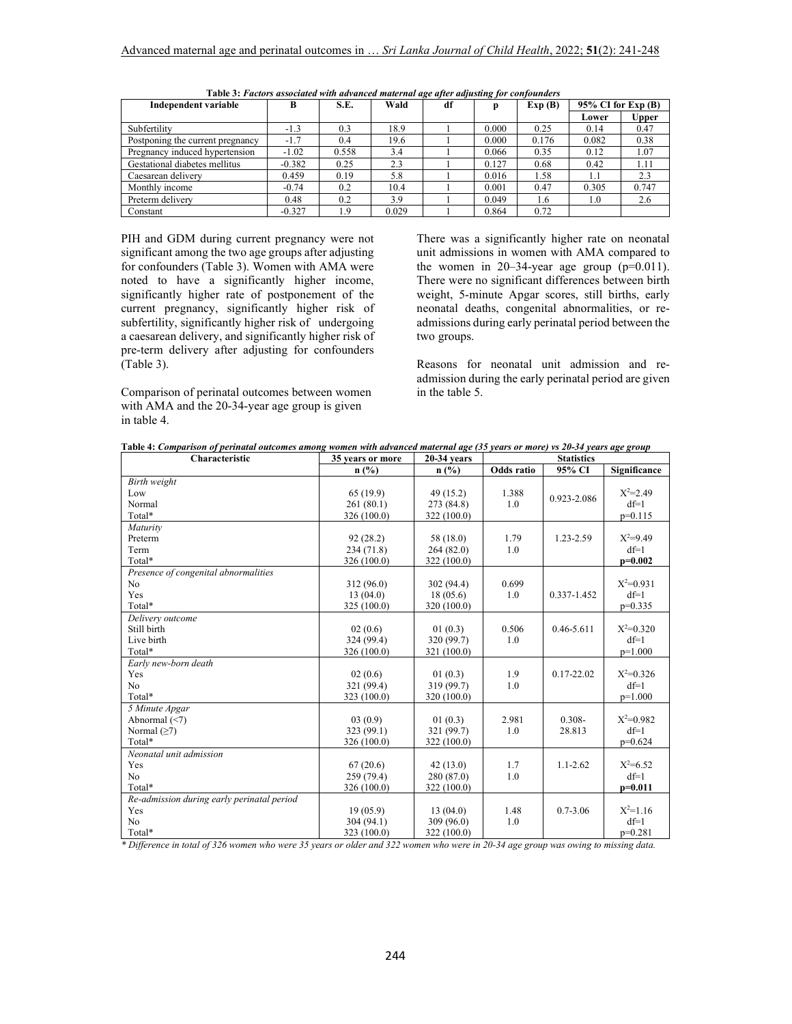| <b>Independent variable</b>      | в        | S.E.  | Wald  | df |       | Exp(B) | $95\%$ CI for Exp (B) |       |
|----------------------------------|----------|-------|-------|----|-------|--------|-----------------------|-------|
|                                  |          |       |       |    |       |        | Lower                 | Upper |
| Subfertility                     | $-1.3$   | 0.3   | 18.9  |    | 0.000 | 0.25   | 0.14                  | 0.47  |
| Postponing the current pregnancy | $-1.7$   | 0.4   | 19.6  |    | 0.000 | 0.176  | 0.082                 | 0.38  |
| Pregnancy induced hypertension   | $-1.02$  | 0.558 | 3.4   |    | 0.066 | 0.35   | 0.12                  | 1.07  |
| Gestational diabetes mellitus    | $-0.382$ | 0.25  | 2.3   |    | 0.127 | 0.68   | 0.42                  | 1.11  |
| Caesarean delivery               | 0.459    | 0.19  | 5.8   |    | 0.016 | 1.58   | 1.1                   | 2.3   |
| Monthly income                   | $-0.74$  | 0.2   | 10.4  |    | 0.001 | 0.47   | 0.305                 | 0.747 |
| Preterm delivery                 | 0.48     | 0.2   | 3.9   |    | 0.049 | 1.6    | 1.0                   | 2.6   |
| Constant                         | $-0.327$ | 1.9   | 0.029 |    | 0.864 | 0.72   |                       |       |

 **Table 3:** *Factors associated with advanced maternal age after adjusting for confounders*

PIH and GDM during current pregnancy were not significant among the two age groups after adjusting for confounders (Table 3). Women with AMA were noted to have a significantly higher income, significantly higher rate of postponement of the current pregnancy, significantly higher risk of subfertility, significantly higher risk of undergoing a caesarean delivery, and significantly higher risk of pre-term delivery after adjusting for confounders (Table 3).

Comparison of perinatal outcomes between women with AMA and the 20-34-year age group is given in table 4.

There was a significantly higher rate on neonatal unit admissions in women with AMA compared to the women in 20–34-year age group  $(p=0.011)$ . There were no significant differences between birth weight, 5-minute Apgar scores, still births, early neonatal deaths, congenital abnormalities, or readmissions during early perinatal period between the two groups.

Reasons for neonatal unit admission and readmission during the early perinatal period are given in the table 5.

| Characteristic                             | 35 years or more | $20-34$ years | <b>Statistics</b> |                |              |
|--------------------------------------------|------------------|---------------|-------------------|----------------|--------------|
|                                            | $n$ (%)          | n(%)          | Odds ratio        | 95% CI         | Significance |
| Birth weight                               |                  |               |                   |                |              |
| Low                                        | 65(19.9)         | 49(15.2)      | 1.388             | 0.923-2.086    | $X^2 = 2.49$ |
| Normal                                     | 261(80.1)        | 273 (84.8)    | 1.0               |                | $df=1$       |
| Total*                                     | 326 (100.0)      | 322 (100.0)   |                   |                | $p=0.115$    |
| Maturity                                   |                  |               |                   |                |              |
| Preterm                                    | 92(28.2)         | 58 (18.0)     | 1.79              | 1.23-2.59      | $X^2=9.49$   |
| Term                                       | 234 (71.8)       | 264(82.0)     | 1.0               |                | $df=1$       |
| Total*                                     | 326 (100.0)      | 322 (100.0)   |                   |                | $p=0.002$    |
| Presence of congenital abnormalities       |                  |               |                   |                |              |
| No.                                        | 312 (96.0)       | 302 (94.4)    | 0.699             |                | $X^2=0.931$  |
| Yes                                        | 13(04.0)         | 18(05.6)      | 1.0               | 0.337-1.452    | $df=1$       |
| Total*                                     | 325 (100.0)      | 320 (100.0)   |                   |                | $p=0.335$    |
| Delivery outcome                           |                  |               |                   |                |              |
| Still birth                                | 02(0.6)          | 01(0.3)       | 0.506             | $0.46 - 5.611$ | $X^2=0.320$  |
| Live birth                                 | 324 (99.4)       | 320 (99.7)    | 1.0               |                | $df=1$       |
| Total*                                     | 326 (100.0)      | 321 (100.0)   |                   |                | $p=1.000$    |
| Early new-born death                       |                  |               |                   |                |              |
| Yes                                        | 02(0.6)          | 01(0.3)       | 1.9               | $0.17 - 22.02$ | $X^2=0.326$  |
| N <sub>o</sub>                             | 321 (99.4)       | 319 (99.7)    | 1.0               |                | $df=1$       |
| Total*                                     | 323 (100.0)      | 320 (100.0)   |                   |                | $p=1.000$    |
| 5 Minute Apgar                             |                  |               |                   |                |              |
| Abnormal $(\leq 7)$                        | 03(0.9)          | 01(0.3)       | 2.981             | $0.308 -$      | $X^2=0.982$  |
| Normal $(\geq 7)$                          | 323 (99.1)       | 321 (99.7)    | 1.0               | 28.813         | $df=1$       |
| Total*                                     | 326 (100.0)      | 322 (100.0)   |                   |                | $p=0.624$    |
| Neonatal unit admission                    |                  |               |                   |                |              |
| Yes                                        | 67(20.6)         | 42(13.0)      | 1.7               | $1.1 - 2.62$   | $X^2=6.52$   |
| N <sub>0</sub>                             | 259 (79.4)       | 280 (87.0)    | 1.0               |                | $df=1$       |
| Total*                                     | 326 (100.0)      | 322 (100.0)   |                   |                | $p=0.011$    |
| Re-admission during early perinatal period |                  |               |                   |                |              |
| Yes                                        | 19(05.9)         | 13(04.0)      | 1.48              | $0.7 - 3.06$   | $X^2=1.16$   |
| N <sub>o</sub>                             | 304 (94.1)       | 309 (96.0)    | 1.0               |                | $df=1$       |
| Total*                                     | 323 (100.0)      | 322 (100.0)   |                   |                | $p=0.281$    |

| Table 4: Comparison of perinatal outcomes among women with advanced maternal age (35 years or more) vs 20-34 years age group |  |  |
|------------------------------------------------------------------------------------------------------------------------------|--|--|
|                                                                                                                              |  |  |

*\* Difference in total of 326 women who were 35 years or older and 322 women who were in 20-34 age group was owing to missing data.*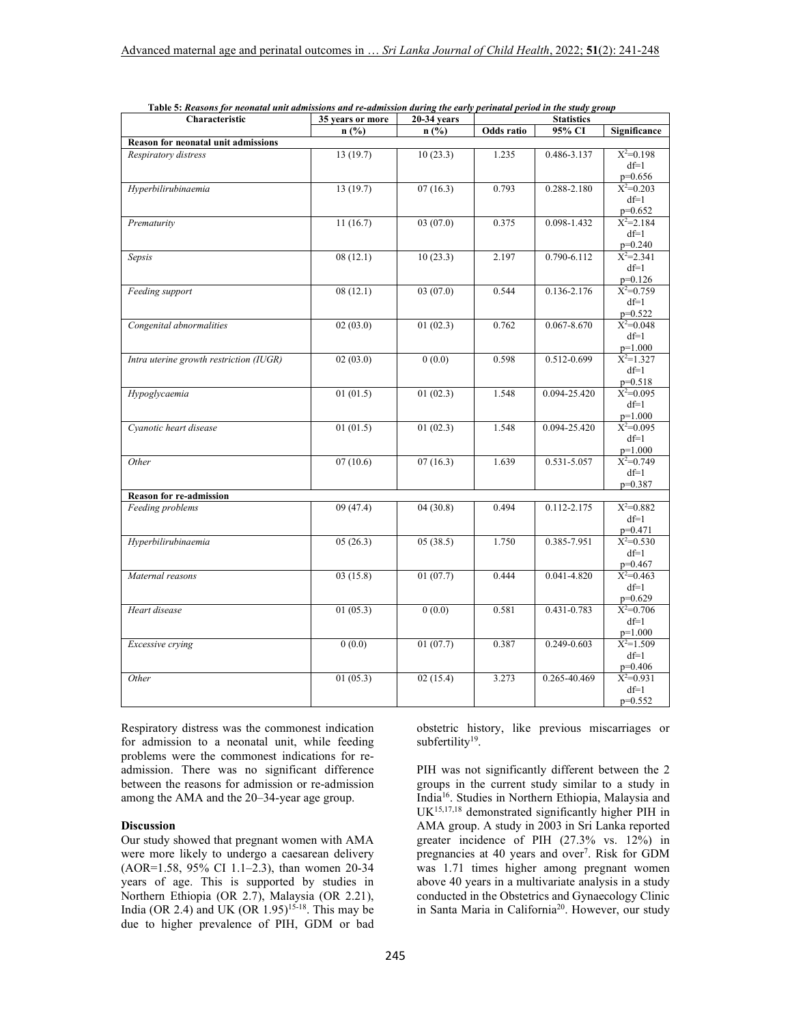| <br>Characteristic                         | 35 years or more | .<br>$20-34$ years |            | <b>Statistics</b> |                            |  |
|--------------------------------------------|------------------|--------------------|------------|-------------------|----------------------------|--|
|                                            | n(%)             | n(%)               | Odds ratio | 95% CI            | Significance               |  |
| <b>Reason for neonatal unit admissions</b> |                  |                    |            |                   |                            |  |
| Respiratory distress                       | 13(19.7)         | 10(23.3)           | 1.235      | 0.486-3.137       | $X^2=0.198$                |  |
|                                            |                  |                    |            |                   | $df=1$                     |  |
|                                            |                  |                    |            |                   | $p=0.656$                  |  |
| Hyperbilirubinaemia                        | 13(19.7)         | 07(16.3)           | 0.793      | 0.288-2.180       | $X^2=0.203$                |  |
|                                            |                  |                    |            |                   | $df=1$                     |  |
| Prematurity                                | 11(16.7)         | 03(07.0)           | 0.375      | 0.098-1.432       | $p=0.652$<br>$X^2 = 2.184$ |  |
|                                            |                  |                    |            |                   | $df=1$                     |  |
|                                            |                  |                    |            |                   | $p=0.240$                  |  |
| Sepsis                                     | 08(12.1)         | 10(23.3)           | 2.197      | 0.790-6.112       | $X^2 = 2.341$              |  |
|                                            |                  |                    |            |                   | $df=1$                     |  |
|                                            |                  |                    |            |                   | $p=0.126$                  |  |
| Feeding support                            | 08(12.1)         | 03(07.0)           | 0.544      | 0.136-2.176       | $X^2=0.759$                |  |
|                                            |                  |                    |            |                   | $df=1$                     |  |
|                                            |                  |                    |            |                   | $p=0.522$                  |  |
| Congenital abnormalities                   | 02(03.0)         | 01(02.3)           | 0.762      | 0.067-8.670       | $X^2 = 0.048$              |  |
|                                            |                  |                    |            |                   | $df=1$                     |  |
| Intra uterine growth restriction (IUGR)    | 02(03.0)         | 0(0.0)             | 0.598      | 0.512-0.699       | $p=1.000$<br>$X^2=1.327$   |  |
|                                            |                  |                    |            |                   | $df=1$                     |  |
|                                            |                  |                    |            |                   | $p=0.518$                  |  |
| Hypoglycaemia                              | 01(01.5)         | 01(02.3)           | 1.548      | 0.094-25.420      | $X^2=0.095$                |  |
|                                            |                  |                    |            |                   | $df=1$                     |  |
|                                            |                  |                    |            |                   | $p=1.000$                  |  |
| Cyanotic heart disease                     | 01(01.5)         | 01(02.3)           | 1.548      | 0.094-25.420      | $X^2 = 0.095$              |  |
|                                            |                  |                    |            |                   | $df=1$                     |  |
|                                            |                  |                    |            |                   | $p=1.000$                  |  |
| Other                                      | 07(10.6)         | 07(16.3)           | 1.639      | 0.531-5.057       | $X^2=0.749$<br>$df=1$      |  |
|                                            |                  |                    |            |                   | $p=0.387$                  |  |
| <b>Reason for re-admission</b>             |                  |                    |            |                   |                            |  |
| Feeding problems                           | 09(47.4)         | 04(30.8)           | 0.494      | 0.112-2.175       | $X^2=0.882$                |  |
|                                            |                  |                    |            |                   | $df=1$                     |  |
|                                            |                  |                    |            |                   | $p=0.471$                  |  |
| Hyperbilirubinaemia                        | 05(26.3)         | 05(38.5)           | 1.750      | 0.385-7.951       | $X^2 = 0.530$              |  |
|                                            |                  |                    |            |                   | $df=1$                     |  |
|                                            |                  |                    |            |                   | $p=0.467$                  |  |
| Maternal reasons                           | 03(15.8)         | 01(07.7)           | 0.444      | 0.041-4.820       | $X^2=0.463$                |  |
|                                            |                  |                    |            |                   | $df=1$                     |  |
| Heart disease                              | 01(05.3)         | 0(0.0)             | 0.581      | 0.431-0.783       | $p=0.629$<br>$X^2=0.706$   |  |
|                                            |                  |                    |            |                   | $df=1$                     |  |
|                                            |                  |                    |            |                   | $p=1.000$                  |  |
| Excessive crying                           | 0(0.0)           | 01(07.7)           | 0.387      | 0.249-0.603       | $X^2=1.509$                |  |
|                                            |                  |                    |            |                   | $df=1$                     |  |
|                                            |                  |                    |            |                   | $p=0.406$                  |  |
| Other                                      | 01(05.3)         | 02(15.4)           | 3.273      | 0.265-40.469      | $X^2=0.931$                |  |
|                                            |                  |                    |            |                   | $df=1$                     |  |
|                                            |                  |                    |            |                   | $p=0.552$                  |  |

|  |  | Table 5: Reasons for neonatal unit admissions and re-admission during the early perinatal period in the study group |
|--|--|---------------------------------------------------------------------------------------------------------------------|
|  |  |                                                                                                                     |

Respiratory distress was the commonest indication for admission to a neonatal unit, while feeding problems were the commonest indications for readmission. There was no significant difference between the reasons for admission or re-admission among the AMA and the 20–34-year age group.

#### **Discussion**

Our study showed that pregnant women with AMA were more likely to undergo a caesarean delivery (AOR=1.58, 95% CI 1.1–2.3), than women 20-34 years of age. This is supported by studies in Northern Ethiopia (OR 2.7), Malaysia (OR 2.21), India (OR 2.4) and UK (OR  $1.95$ )<sup>15-18</sup>. This may be due to higher prevalence of PIH, GDM or bad obstetric history, like previous miscarriages or subfertility<sup>19</sup>.

PIH was not significantly different between the 2 groups in the current study similar to a study in India<sup>16</sup>. Studies in Northern Ethiopia, Malaysia and UK15,17,18 demonstrated significantly higher PIH in AMA group. A study in 2003 in Sri Lanka reported greater incidence of PIH (27.3% vs. 12%) in pregnancies at 40 years and over<sup>7</sup>. Risk for GDM was 1.71 times higher among pregnant women above 40 years in a multivariate analysis in a study conducted in the Obstetrics and Gynaecology Clinic in Santa Maria in California20. However, our study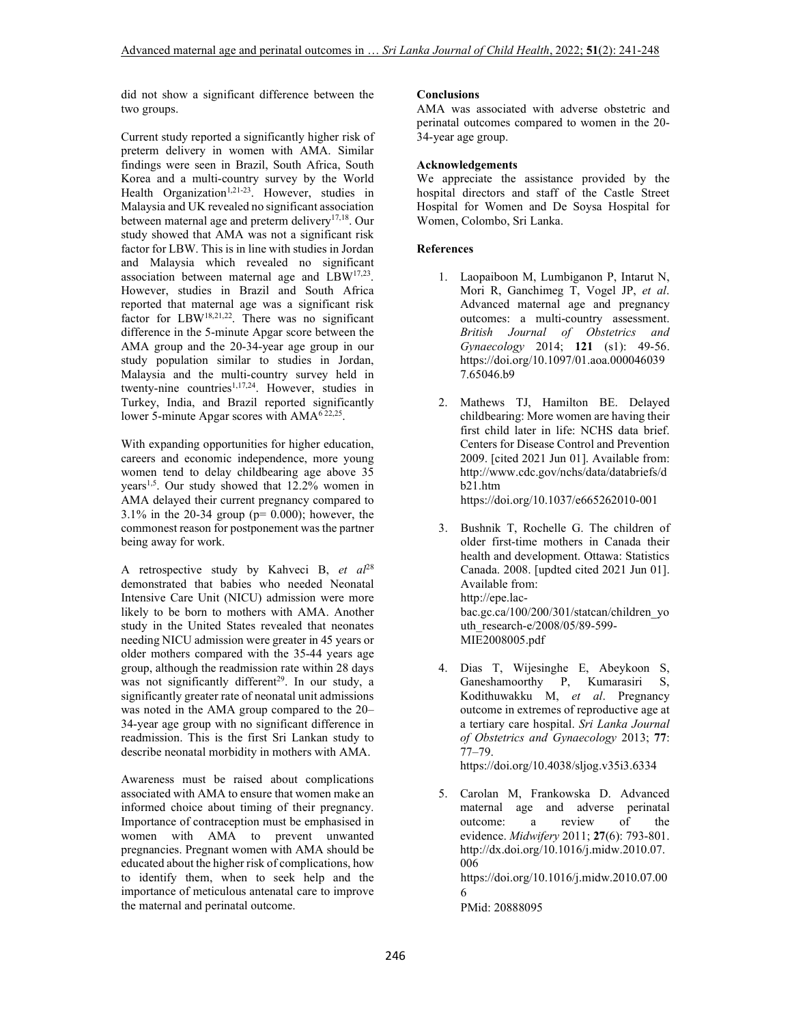did not show a significant difference between the two groups.

Current study reported a significantly higher risk of preterm delivery in women with AMA. Similar findings were seen in Brazil, South Africa, South Korea and a multi-country survey by the World Health Organization<sup>1,21-23</sup>. However, studies in Malaysia and UK revealed no significant association between maternal age and preterm delivery<sup>17,18</sup>. Our study showed that AMA was not a significant risk factor for LBW. This is in line with studies in Jordan and Malaysia which revealed no significant association between maternal age and LBW<sup>17,23</sup>. However, studies in Brazil and South Africa reported that maternal age was a significant risk factor for LBW18,21,22. There was no significant difference in the 5-minute Apgar score between the AMA group and the 20-34-year age group in our study population similar to studies in Jordan, Malaysia and the multi-country survey held in twenty-nine countries<sup>1,17,24</sup>. However, studies in Turkey, India, and Brazil reported significantly lower 5-minute Apgar scores with  $AMA^{622,25}$ .

With expanding opportunities for higher education, careers and economic independence, more young women tend to delay childbearing age above 35 years<sup>1,5</sup>. Our study showed that 12.2% women in AMA delayed their current pregnancy compared to 3.1% in the 20-34 group ( $p= 0.000$ ); however, the commonest reason for postponement was the partner being away for work.

A retrospective study by Kahveci B, *et al*<sup>28</sup> demonstrated that babies who needed Neonatal Intensive Care Unit (NICU) admission were more likely to be born to mothers with AMA. Another study in the United States revealed that neonates needing NICU admission were greater in 45 years or older mothers compared with the 35-44 years age group, although the readmission rate within 28 days was not significantly different<sup>29</sup>. In our study, a significantly greater rate of neonatal unit admissions was noted in the AMA group compared to the 20– 34-year age group with no significant difference in readmission. This is the first Sri Lankan study to describe neonatal morbidity in mothers with AMA.

Awareness must be raised about complications associated with AMA to ensure that women make an informed choice about timing of their pregnancy. Importance of contraception must be emphasised in women with AMA to prevent unwanted pregnancies. Pregnant women with AMA should be educated about the higher risk of complications, how to identify them, when to seek help and the importance of meticulous antenatal care to improve the maternal and perinatal outcome.

# **Conclusions**

AMA was associated with adverse obstetric and perinatal outcomes compared to women in the 20- 34-year age group.

### **Acknowledgements**

We appreciate the assistance provided by the hospital directors and staff of the Castle Street Hospital for Women and De Soysa Hospital for Women, Colombo, Sri Lanka.

## **References**

- 1. Laopaiboon M, Lumbiganon P, Intarut N, Mori R, Ganchimeg T, Vogel JP, *et al*. Advanced maternal age and pregnancy outcomes: a multi-country assessment. *British Journal of Obstetrics and Gynaecology* 2014; **121** (s1): 49-56. https://doi.org/10.1097/01.aoa.000046039 7.65046.b9
- 2. Mathews TJ, Hamilton BE. Delayed childbearing: More women are having their first child later in life: NCHS data brief. Centers for Disease Control and Prevention 2009. [cited 2021 Jun 01]. Available from: http://www.cdc.gov/nchs/data/databriefs/d b21.htm

https://doi.org/10.1037/e665262010-001

- 3. Bushnik T, Rochelle G. The children of older first-time mothers in Canada their health and development. Ottawa: Statistics Canada. 2008. [updted cited 2021 Jun 01]. Available from: http://epe.lacbac.gc.ca/100/200/301/statcan/children\_yo uth\_research-e/2008/05/89-599- MIE2008005.pdf
- 4. Dias T, Wijesinghe E, Abeykoon S, Ganeshamoorthy P, Kumarasiri S, Kodithuwakku M, *et al*. Pregnancy outcome in extremes of reproductive age at a tertiary care hospital. *Sri Lanka Journal of Obstetrics and Gynaecology* 2013; **77**: 77–79.

https://doi.org/10.4038/sljog.v35i3.6334

5. Carolan M, Frankowska D. Advanced maternal age and adverse perinatal outcome: a review of the evidence. *Midwifery* 2011; **27**(6): 793-801. http://dx.doi.org/10.1016/j.midw.2010.07. 006 https://doi.org/10.1016/j.midw.2010.07.00 6

PMid: 20888095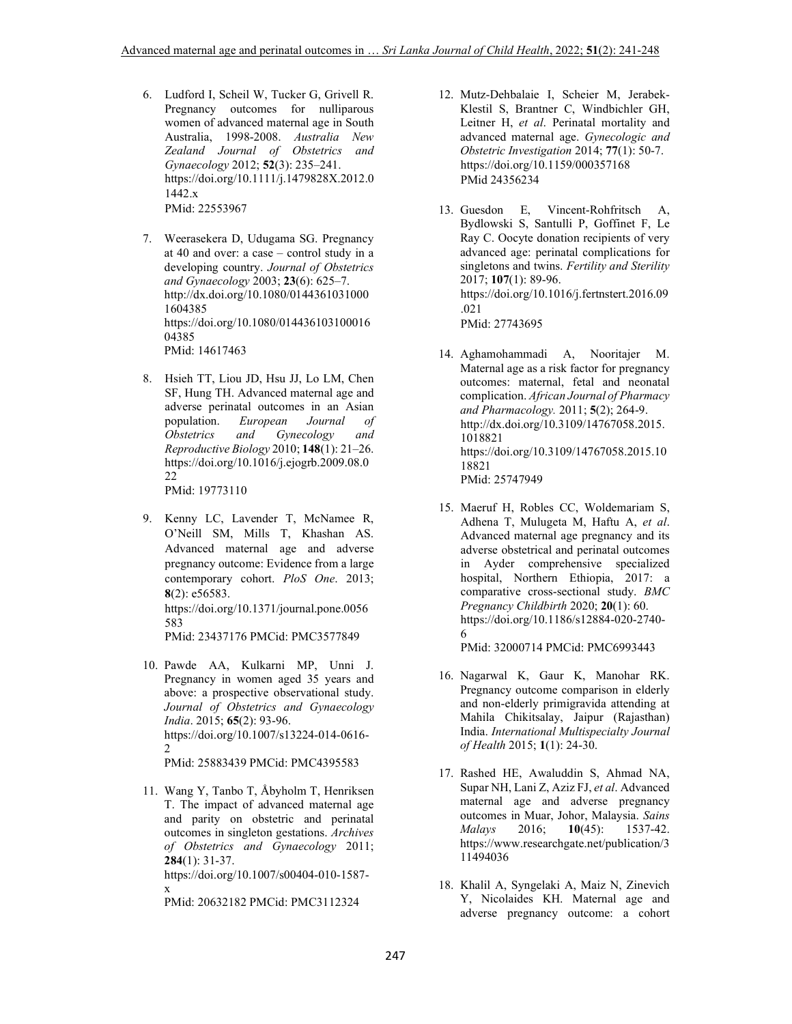- 6. Ludford I, Scheil W, Tucker G, Grivell R. Pregnancy outcomes for nulliparous women of advanced maternal age in South Australia, 1998-2008. *Australia New Zealand Journal of Obstetrics and Gynaecology* 2012; **52**(3): 235–241. https://doi.org/10.1111/j.1479828X.2012.0 1442.x PMid: 22553967
- 7. Weerasekera D, Udugama SG. Pregnancy at 40 and over: a case – control study in a developing country. *Journal of Obstetrics and Gynaecology* 2003; **23**(6): 625–7. http://dx.doi.org/10.1080/0144361031000 1604385 https://doi.org/10.1080/014436103100016 04385 PMid: 14617463
- 8. Hsieh TT, Liou JD, Hsu JJ, Lo LM, Chen SF, Hung TH. Advanced maternal age and adverse perinatal outcomes in an Asian<br>population. European Journal of European Journal of<br>and Gynecology and *Obstetrics* and *Gynecology Reproductive Biology* 2010; **148**(1): 21–26. https://doi.org/10.1016/j.ejogrb.2009.08.0 22 PMid: 19773110
- 9. Kenny LC, Lavender T, McNamee R, O'Neill SM, Mills T, Khashan AS. Advanced maternal age and adverse pregnancy outcome: Evidence from a large contemporary cohort. *PloS One*. 2013; **8**(2): e56583. https://doi.org/10.1371/journal.pone.0056 583

PMid: 23437176 PMCid: PMC3577849

10. Pawde AA, Kulkarni MP, Unni J. Pregnancy in women aged 35 years and above: a prospective observational study. *Journal of Obstetrics and Gynaecology India*. 2015; **65**(2): 93-96. https://doi.org/10.1007/s13224-014-0616- 2 PMid: 25883439 PMCid: PMC4395583

11. Wang Y, Tanbo T, Åbyholm T, Henriksen T. The impact of advanced maternal age and parity on obstetric and perinatal outcomes in singleton gestations. *Archives of Obstetrics and Gynaecology* 2011; **284**(1): 31-37.

https://doi.org/10.1007/s00404-010-1587 x

PMid: 20632182 PMCid: PMC3112324

- 12. Mutz-Dehbalaie I, Scheier M, Jerabek-Klestil S, Brantner C, Windbichler GH, Leitner H, *et al*. Perinatal mortality and advanced maternal age. *Gynecologic and Obstetric Investigation* 2014; **77**(1): 50-7. https://doi.org/10.1159/000357168 PMid 24356234
- 13. Guesdon E, Vincent-Rohfritsch A, Bydlowski S, Santulli P, Goffinet F, Le Ray C. Oocyte donation recipients of very advanced age: perinatal complications for singletons and twins. *Fertility and Sterility* 2017; **107**(1): 89-96. https://doi.org/10.1016/j.fertnstert.2016.09 .021 PMid: 27743695
- 14. Aghamohammadi A, Nooritajer M. Maternal age as a risk factor for pregnancy outcomes: maternal, fetal and neonatal complication. *African Journal of Pharmacy and Pharmacology.* 2011; **5**(2); 264-9. http://dx.doi.org/10.3109/14767058.2015. 1018821 https://doi.org/10.3109/14767058.2015.10 18821 PMid: 25747949
- 15. Maeruf H, Robles CC, Woldemariam S, Adhena T, Mulugeta M, Haftu A, *et al*. Advanced maternal age pregnancy and its adverse obstetrical and perinatal outcomes in Ayder comprehensive specialized hospital, Northern Ethiopia, 2017: a comparative cross-sectional study. *BMC Pregnancy Childbirth* 2020; **20**(1): 60. https://doi.org/10.1186/s12884-020-2740- 6

PMid: 32000714 PMCid: PMC6993443

- 16. Nagarwal K, Gaur K, Manohar RK. Pregnancy outcome comparison in elderly and non-elderly primigravida attending at Mahila Chikitsalay, Jaipur (Rajasthan) India. *International Multispecialty Journal of Health* 2015; **1**(1): 24-30.
- 17. Rashed HE, Awaluddin S, Ahmad NA, Supar NH, Lani Z, Aziz FJ, *et al*. Advanced maternal age and adverse pregnancy outcomes in Muar, Johor, Malaysia. *Sains Malays* 2016; **10**(45): 1537-42. https://www.researchgate.net/publication/3 11494036
- 18. Khalil A, Syngelaki A, Maiz N, Zinevich Y, Nicolaides KH. Maternal age and adverse pregnancy outcome: a cohort